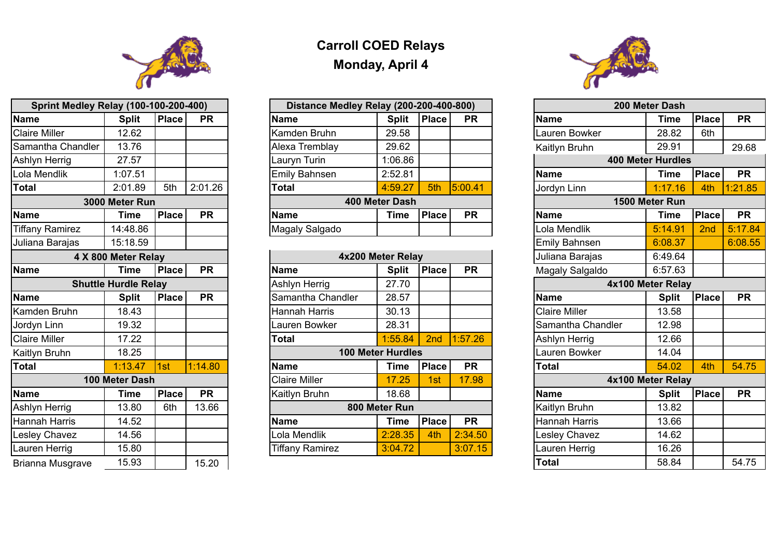

| <b>Sprint Medley Relay (100-100-200-400)</b> |                             |              |           |  |  |  |  |  |  |  |  |
|----------------------------------------------|-----------------------------|--------------|-----------|--|--|--|--|--|--|--|--|
| <b>Name</b>                                  | <b>Split</b>                | <b>Place</b> | <b>PR</b> |  |  |  |  |  |  |  |  |
| <b>Claire Miller</b>                         | 12.62                       |              |           |  |  |  |  |  |  |  |  |
| Samantha Chandler                            | 13.76                       |              |           |  |  |  |  |  |  |  |  |
| <b>Ashlyn Herrig</b>                         | 27.57                       |              |           |  |  |  |  |  |  |  |  |
| Lola Mendlik                                 | 1:07.51                     |              |           |  |  |  |  |  |  |  |  |
| <b>Total</b>                                 | 2:01.89                     | 5th          | 2:01.26   |  |  |  |  |  |  |  |  |
|                                              | 3000 Meter Run              |              |           |  |  |  |  |  |  |  |  |
| <b>Name</b>                                  | <b>Time</b>                 | <b>Place</b> | <b>PR</b> |  |  |  |  |  |  |  |  |
| <b>Tiffany Ramirez</b>                       | 14:48.86                    |              |           |  |  |  |  |  |  |  |  |
| Juliana Barajas                              | 15:18.59                    |              |           |  |  |  |  |  |  |  |  |
|                                              | 4 X 800 Meter Relay         |              |           |  |  |  |  |  |  |  |  |
| <b>Name</b>                                  | <b>Time</b>                 | <b>Place</b> | <b>PR</b> |  |  |  |  |  |  |  |  |
|                                              | <b>Shuttle Hurdle Relay</b> |              |           |  |  |  |  |  |  |  |  |
| <b>Name</b>                                  | <b>Split</b>                | <b>Place</b> | <b>PR</b> |  |  |  |  |  |  |  |  |
| <b>Kamden Bruhn</b>                          | 18.43                       |              |           |  |  |  |  |  |  |  |  |
| Jordyn Linn                                  | 19.32                       |              |           |  |  |  |  |  |  |  |  |
| <b>Claire Miller</b>                         | 17.22                       |              |           |  |  |  |  |  |  |  |  |
| Kaitlyn Bruhn                                | 18.25                       |              |           |  |  |  |  |  |  |  |  |
| <b>Total</b>                                 | 1:13.47                     | 1st          | 1:14.80   |  |  |  |  |  |  |  |  |
|                                              | 100 Meter Dash              |              |           |  |  |  |  |  |  |  |  |
| <b>Name</b>                                  | Time                        | <b>Place</b> | <b>PR</b> |  |  |  |  |  |  |  |  |
| <b>Ashlyn Herrig</b>                         | 13.80                       | 6th          | 13.66     |  |  |  |  |  |  |  |  |
| Hannah Harris                                | 14.52                       |              |           |  |  |  |  |  |  |  |  |
| <b>Lesley Chavez</b>                         | 14.56                       |              |           |  |  |  |  |  |  |  |  |
| Lauren Herrig                                | 15.80                       |              |           |  |  |  |  |  |  |  |  |
| <b>Brianna Musgrave</b>                      | 15.93                       |              | 15.20     |  |  |  |  |  |  |  |  |

## **Carroll COED Relays Monday, April 4**

| <b>Sprint Medley Relay (100-100-200-400)</b> |                |              |           | Distance Medley Relay (200-200-400-800) |                |              |           |  | 200 Meter Dash           |                |              |
|----------------------------------------------|----------------|--------------|-----------|-----------------------------------------|----------------|--------------|-----------|--|--------------------------|----------------|--------------|
| <b>Name</b>                                  | <b>Split</b>   | <b>Place</b> | <b>PR</b> | <b>Name</b>                             | <b>Split</b>   | Place        | <b>PR</b> |  | <b>Name</b>              | <b>Time</b>    | <b>Place</b> |
| <b>Claire Miller</b>                         | 12.62          |              |           | Kamden Bruhn                            | 29.58          |              |           |  | Lauren Bowker            | 28.82          | 6th          |
| Samantha Chandler                            | 13.76          |              |           | <b>Alexa Tremblay</b>                   | 29.62          |              |           |  | <b>Kaitlyn Bruhn</b>     | 29.91          |              |
| Ashlyn Herrig                                | 27.57          |              |           | Lauryn Turin                            | 1:06.86        |              |           |  | <b>400 Meter Hurdles</b> |                |              |
| Lola Mendlik                                 | 1:07.51        |              |           | <b>Emily Bahnsen</b>                    | 2:52.81        |              |           |  | <b>Name</b>              | <b>Time</b>    | <b>Place</b> |
| <b>Total</b>                                 | 2:01.89        | 5th          | 2:01.26   | <b>Total</b>                            | 4:59.27        | 5th          | 5:00.41   |  | Jordyn Linn              | 1:17.16        | $\n  4th\n$  |
|                                              | 3000 Meter Run |              |           |                                         | 400 Meter Dash |              |           |  |                          | 1500 Meter Run |              |
| <b>Name</b>                                  | Time           | <b>Place</b> | <b>PR</b> | <b>Name</b>                             | <b>Time</b>    | <b>Place</b> | <b>PR</b> |  | <b>Name</b>              | <b>Time</b>    | <b>Place</b> |
| <b>Tiffany Ramirez</b>                       | 14:48.86       |              |           | Magaly Salgado                          |                |              |           |  | Lola Mendlik             | 5:14.91        | 2nd          |
|                                              |                |              |           |                                         |                |              |           |  |                          |                |              |

| <b>Sprint Medley Relay (100-100-200-400)</b> |                             |              |           | Distance Medley Relay (200-200-400-800) |                          |              |           |                        | 200 Meter Dash           |              |           |
|----------------------------------------------|-----------------------------|--------------|-----------|-----------------------------------------|--------------------------|--------------|-----------|------------------------|--------------------------|--------------|-----------|
| <b>Name</b>                                  | <b>Split</b>                | <b>Place</b> | <b>PR</b> | <b>Name</b>                             | <b>Split</b>             | <b>Place</b> | <b>PR</b> | <b>Name</b>            | Time                     | <b>Place</b> | <b>PR</b> |
| <b>Claire Miller</b>                         | 12.62                       |              |           | Kamden Bruhn                            | 29.58                    |              |           | auren Bowker           | 28.82                    | 6th          |           |
| Samantha Chandler                            | 13.76                       |              |           | Alexa Tremblay                          | 29.62                    |              |           | Kaitlyn Bruhn          | 29.91                    |              | 29.68     |
| Ashlyn Herrig                                | 27.57                       |              |           | Lauryn Turin                            | 1:06.86                  |              |           |                        | <b>400 Meter Hurdles</b> |              |           |
| Lola Mendlik                                 | 1:07.51                     |              |           | <b>Emily Bahnsen</b>                    | 2:52.81                  |              |           | <b>Name</b>            | Time                     | <b>Place</b> | <b>PR</b> |
| <b>Total</b>                                 | 2:01.89                     | 5th          | 2:01.26   | <b>Total</b>                            | 4:59.27                  | 5th          | 5:00.41   | Jordyn Linn            | 1:17.16                  | 4th          | 1:21.85   |
|                                              | 3000 Meter Run              |              |           |                                         | 400 Meter Dash           |              |           |                        | 1500 Meter Run           |              |           |
| <b>Name</b>                                  | Time                        | <b>Place</b> | <b>PR</b> | <b>Name</b>                             | <b>Time</b>              | <b>Place</b> | <b>PR</b> | <b>Name</b>            | <b>Time</b>              | <b>Place</b> | <b>PR</b> |
| <b>Tiffany Ramirez</b>                       | 14:48.86                    |              |           | Magaly Salgado                          |                          |              |           | Lola Mendlik           | 5:14.91                  | 2nd          | 5:17.84   |
| Juliana Barajas                              | 15:18.59                    |              |           |                                         |                          |              |           | <b>Emily Bahnsen</b>   | 6:08.37                  |              | 6:08.55   |
|                                              | 4 X 800 Meter Relay         |              |           |                                         | 4x200 Meter Relay        |              |           | Juliana Barajas        | 6:49.64                  |              |           |
| <b>Name</b>                                  | Time                        | <b>Place</b> | <b>PR</b> | <b>Name</b>                             | <b>Split</b>             | <b>Place</b> | <b>PR</b> | <b>Magaly Salgaldo</b> | 6:57.63                  |              |           |
|                                              | <b>Shuttle Hurdle Relay</b> |              |           | <b>Ashlyn Herrig</b>                    | 27.70                    |              |           |                        | 4x100 Meter Relay        |              |           |
| <b>Name</b>                                  | <b>Split</b>                | <b>Place</b> | <b>PR</b> | Samantha Chandler                       | 28.57                    |              |           | <b>Name</b>            | <b>Split</b>             | <b>Place</b> | <b>PR</b> |
| Kamden Bruhn                                 | 18.43                       |              |           | Hannah Harris                           | 30.13                    |              |           | <b>Claire Miller</b>   | 13.58                    |              |           |
| Jordyn Linn                                  | 19.32                       |              |           | auren Bowker                            | 28.31                    |              |           | Samantha Chandler      | 12.98                    |              |           |
| <b>Claire Miller</b>                         | 17.22                       |              |           | Total                                   | 1:55.84                  | 2nd          | 1:57.26   | <b>Ashlyn Herrig</b>   | 12.66                    |              |           |
| Kaitlyn Bruhn                                | 18.25                       |              |           |                                         | <b>100 Meter Hurdles</b> |              |           | Lauren Bowker          | 14.04                    |              |           |
| <b>Total</b>                                 | 1:13.47                     | 1st          | 1:14.80   | <b>Name</b>                             | Time                     | <b>Place</b> | <b>PR</b> | Total                  | 54.02                    | 4th          | 54.75     |
|                                              | 100 Meter Dash              |              |           | Claire Miller                           | 17.25                    | 1st          | 17.98     |                        | 4x100 Meter Relay        |              |           |
| Name                                         | Time                        | <b>Place</b> | <b>PR</b> | <b>Kaitlyn Bruhn</b>                    | 18.68                    |              |           | Name                   | <b>Split</b>             | Place        | <b>PR</b> |
| Ashlyn Herrig                                | 13.80                       | 6th          | 13.66     |                                         | 800 Meter Run            |              |           | Kaitlyn Bruhn          | 13.82                    |              |           |
| Hannah Harris                                | 14.52                       |              |           | Name                                    | <b>Time</b>              | <b>Place</b> | <b>PR</b> | <b>Hannah Harris</b>   | 13.66                    |              |           |
| <b>Lesley Chavez</b>                         | 14.56                       |              |           | Lola Mendlik                            | 2:28.35                  | 4th          | 2:34.50   | esley Chavez           | 14.62                    |              |           |
| Lauren Herrig                                | 15.80                       |              |           | <b>Tiffany Ramirez</b>                  | 3:04.72                  |              | 3:07.15   | Lauren Herrig          | 16.26                    |              |           |
| <b>Brianna Musgrave</b>                      | 15.93                       |              | 15.20     |                                         |                          |              |           | <b>Total</b>           | 58.84                    |              | 54.75     |

| lame |  |
|------|--|
|      |  |

| LUIU IVIUTUI      |
|-------------------|
| <b>Emily Bahn</b> |
| Juliana Bar       |
| $M = 1.001$       |

|                      | 4 X 800 Meter Relay         |              |           |                        | 4x200 Meter Relay<br>Juliana Barajas |              |           |                                   | 6:49.64 |  |  |
|----------------------|-----------------------------|--------------|-----------|------------------------|--------------------------------------|--------------|-----------|-----------------------------------|---------|--|--|
| <b>Name</b>          | Time                        | <b>Place</b> | <b>PR</b> | <b>Name</b>            | <b>Split</b>                         | <b>Place</b> | <b>PR</b> | 6:57.63<br><b>Magaly Salgaldo</b> |         |  |  |
|                      | <b>Shuttle Hurdle Relay</b> |              |           | <b>Ashlyn Herrig</b>   | 27.70                                |              |           | 4x100 Meter Relay                 |         |  |  |
| <b>Name</b>          | <b>Split</b>                | <b>Place</b> | <b>PR</b> | Samantha Chandler      | 28.57                                |              |           | <b>Name</b><br><b>Split</b>       |         |  |  |
| Kamden Bruhn         | 18.43                       |              |           | <b>Hannah Harris</b>   | 30.13                                |              |           | <b>Claire Miller</b><br>13.58     |         |  |  |
| Jordyn Linn          | 19.32                       |              |           | auren Bowker           | 28.31                                |              |           | Samantha Chandler<br>12.98        |         |  |  |
| <b>Claire Miller</b> | 17.22                       |              |           | <b>Total</b>           | 1:55.84                              | 2nd          | 1:57.26   | <b>Ashlyn Herrig</b><br>12.66     |         |  |  |
| Kaitlyn Bruhn        | 18.25                       |              |           |                        | <b>100 Meter Hurdles</b>             |              |           | <b>Lauren Bowker</b><br>14.04     |         |  |  |
| Total                | 1:13.47                     | 1st          | 1:14.80   | <b>Name</b>            | Time                                 | <b>Place</b> | <b>PR</b> | <b>Total</b><br>54.02             |         |  |  |
|                      | <b>100 Meter Dash</b>       |              |           | <b>Claire Miller</b>   | 17.25                                | 1st          | 17.98     | 4x100 Meter Relay                 |         |  |  |
| <b>Name</b>          | Time                        | <b>Place</b> | <b>PR</b> | Kaitlyn Bruhn          | 18.68                                |              |           | <b>Name</b><br><b>Split</b>       |         |  |  |
| Ashlyn Herrig        | 13.80                       | 6th          | 13.66     |                        | 800 Meter Run                        |              |           | Kaitlyn Bruhn<br>13.82            |         |  |  |
| <b>Hannah Harris</b> | 14.52                       |              |           | <b>Name</b>            | <b>Time</b>                          | <b>Place</b> | <b>PR</b> | Hannah Harris<br>13.66            |         |  |  |
| <b>Lesley Chavez</b> | 14.56                       |              |           | Lola Mendlik           | 2:28.35                              | 4th          | 2:34.50   | <b>Lesley Chavez</b><br>14.62     |         |  |  |
| Lauren Herrig        | 15.80                       |              |           | <b>Tiffany Ramirez</b> | 3:04.72                              |              | 3:07.15   | <b>Lauren Herrig</b><br>16.26     |         |  |  |
|                      |                             |              |           |                        |                                      |              |           |                                   |         |  |  |